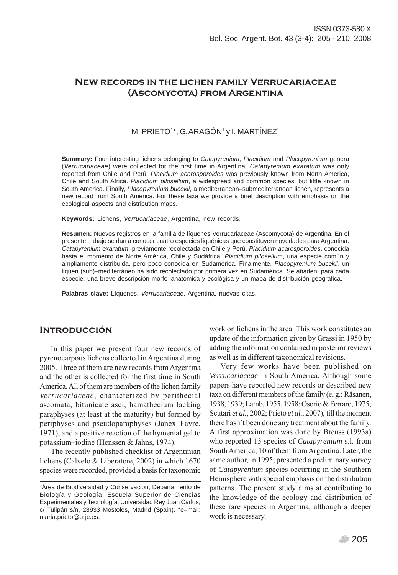# **New records in the lichen family Verrucariaceae (Ascomycota) from Argentina**

#### M. PRIETO1\*, G. ARAGÓN1 y I. MARTÍNEZ1

**Summary:** Four interesting lichens belonging to *Catapyrenium*, *Placidium* and *Placopyrenium* genera (*Verrucariaceae*) were collected for the first time in Argentina. *Catapyrenium exaratum* was only reported from Chile and Perú. *Placidium acarosporoides* was previously known from North America, Chile and South Africa. *Placidium pilosellum*, a widespread and common species, but little known in South America. Finally, *Placopyrenium bucekii*, a mediterranean–submediterranean lichen, represents a new record from South America. For these taxa we provide a brief description with emphasis on the ecological aspects and distribution maps.

**Keywords:** Lichens, *Verrucariaceae*, Argentina, new records.

**Resumen:** Nuevos registros en la familia de líquenes Verrucariaceae (Ascomycota) de Argentina. En el presente trabajo se dan a conocer cuatro especies liquénicas que constituyen novedades para Argentina. *Catapyrenium exaratum*, previamente recolectada en Chile y Perú. *Placidium acarosporoides*, conocida hasta el momento de Norte América, Chile y Sudáfrica. *Placidium pilosellum*, una especie común y ampliamente distribuida, pero poco conocida en Sudamérica. Finalmente, *Placopyrenium bucekii*, un liquen (sub)–mediterráneo ha sido recolectado por primera vez en Sudamérica. Se añaden, para cada especie, una breve descripción morfo–anatómica y ecológica y un mapa de distribución geográfica.

**Palabras clave:** Líquenes, *Verrucariaceae*, Argentina, nuevas citas.

# **INTRODUCCIÓN**

In this paper we present four new records of pyrenocarpous lichens collected in Argentina during 2005. Three of them are new records from Argentina and the other is collected for the first time in South America. All of them are members of the lichen family *Verrucariaceae*, characterized by perithecial ascomata, bitunicate asci, hamathecium lacking paraphyses (at least at the maturity) but formed by periphyses and pseudoparaphyses (Janex–Favre, 1971), and a positive reaction of the hymenial gel to potassium–iodine (Henssen & Jahns, 1974).

The recently published checklist of Argentinian lichens (Calvelo & Liberatore, 2002) in which 1670 species were recorded, provided a basis for taxonomic work on lichens in the area. This work constitutes an update of the information given by Grassi in 1950 by adding the information contained in posterior reviews as well as in different taxonomical revisions.

Very few works have been published on *Verrucariaceae* in South America. Although some papers have reported new records or described new taxa on different members of the family (e. g.: Räsanen, 1938, 1939; Lamb, 1955, 1958; Osorio & Ferraro, 1975; Scutari *et al.,* 2002; Prieto *et al*., 2007), till the moment there hasn´t been done any treatment about the family. A first approximation was done by Breuss (1993a) who reported 13 species of *Catapyrenium* s.l. from South America, 10 of them from Argentina. Later, the same author, in 1995, presented a preliminary survey of *Catapyrenium* species occurring in the Southern Hemisphere with special emphasis on the distribution patterns. The present study aims at contributing to the knowledge of the ecology and distribution of these rare species in Argentina, although a deeper work is necessary.

<sup>1</sup> Área de Biodiversidad y Conservación, Departamento de Biología y Geología, Escuela Superior de Ciencias Experimentales y Tecnología, Universidad Rey Juan Carlos, c/ Tulipán s/n, 28933 Móstoles, Madrid (Spain). \*e–mail: maria.prieto@urjc.es.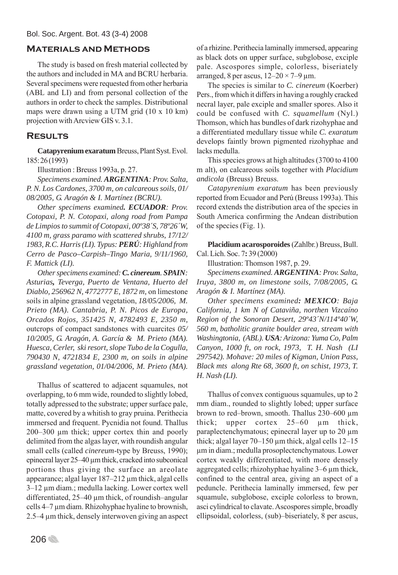# **Materials and Methods**

The study is based on fresh material collected by the authors and included in MA and BCRU herbaria. Several specimens were requested from other herbaria (ABL and LI) and from personal collection of the authors in order to check the samples. Distributional maps were drawn using a UTM grid (10 x 10 km) projection with Arcview GIS v. 3.1.

# **Results**

**Catapyrenium exaratum Breuss, Plant Syst. Evol.** 185: 26 (1993)

Illustration : Breuss 1993a, p. 27.

*Specimens examined. ARGENTINA: Prov. Salta, P. N. Los Cardones, 3700 m, on calcareous soils, 01/ 08/2005, G. Aragón & I. Martínez (BCRU).*

*Other specimens examined. ECUADOR: Prov. Cotopaxi, P. N. Cotopaxi, along road from Pampa de Limpios to summit of Cotopaxi, 00º38´S, 78º26´W, 4100 m, grass paramo with scattered shrubs, 17/12/ 1983, R.C. Harris (LI). Typus: PERÚ: Highland from Cerro de Pasco–Carpish–Tingo Maria, 9/11/1960, F. Mattick (LI).*

*Other specimens examined: C. cinereum. SPAIN: Asturias, Teverga, Puerto de Ventana, Huerto del Diablo, 256962 N, 4772777 E, 1872 m,* on limestone soils in alpine grassland vegetation, *18/05/2006, M. Prieto (MA). Cantabria, P. N. Picos de Europa, Orcados Rojos, 351425 N, 4782493 E, 2350 m,* outcrops of compact sandstones with cuarcites *05/ 10/2005, G. Aragón, A. García & M. Prieto (MA). Huesca, Cerler, ski resort, slope Tubo de la Cogulla, 790430 N, 4721834 E, 2300 m, on soils in alpine grassland vegetation, 01/04/2006, M. Prieto (MA).*

Thallus of scattered to adjacent squamules, not overlapping, to 6 mm wide, rounded to slightly lobed, totally adpressed to the substrate; upper surface pale, matte, covered by a whitish to gray pruina. Perithecia immersed and frequent. Pycnidia not found. Thallus 200–300 μm thick; upper cortex thin and poorly delimited from the algas layer, with roundish angular small cells (called *cinereum*-type by Breuss, 1990); epinecral layer 25–40 μm thick, cracked into subconical portions thus giving the surface an areolate appearance; algal layer 187–212 μm thick, algal cells 3–12 μm diam.; medulla lacking. Lower cortex well differentiated, 25–40 μm thick, of roundish–angular cells 4–7 μm diam. Rhizohyphae hyaline to brownish, 2.5–4 μm thick, densely interwoven giving an aspect

206<sup></sup>

of a rhizine. Perithecia laminally immersed, appearing as black dots on upper surface, subglobose, exciple pale. Ascospores simple, colorless, biseriately arranged, 8 per ascus,  $12-20 \times 7-9$  µm.

The species is similar to *C. cinereum* (Koerber) Pers., from which it differs in having a roughly cracked necral layer, pale exciple and smaller spores. Also it could be confused with *C. squamellum* (Nyl.) Thomson, which has bundles of dark rizohyphae and a differentiated medullary tissue while *C. exaratum* develops faintly brown pigmented rizohyphae and lacks medulla.

This species grows at high altitudes (3700 to 4100 m alt), on calcareous soils together with *Placidium andicola* (Breuss) Breuss.

*Catapyrenium exaratum* has been previously reported from Ecuador and Perú (Breuss 1993a). This record extends the distribution area of the species in South America confirming the Andean distribution of the species (Fig. 1).

Placidium acarosporoides (Zahlbr.) Breuss, Bull. Cal. Lich. Soc. 7**:** 39 (2000)

Illustration: Thomson 1987, p. 29.

*Specimens examined. ARGENTINA: Prov. Salta, Iruya, 3800 m, on limestone soils, 7/08/2005, G. Aragón & I. Martínez (MA).*

*Other specimens examined: MEXICO: Baja California, 1 km N of Cataviña, northen Vizcaíno Region of the Sonoran Desert, 29º43´N/114º40´W, 560 m, batholitic granite boulder area, stream with Washingtonia, (ABL). USA: Arizona: Yuma Co, Palm Canyon, 1000 ft, on rock, 1973, T. H. Nash (LI 297542). Mohave: 20 miles of Kigman, Union Pass, Black mts along Rte 68, 3600 ft, on schist, 1973, T. H. Nash (LI).*

Thallus of convex contiguous squamules, up to 2 mm diam., rounded to slightly lobed; upper surface brown to red–brown, smooth. Thallus 230–600 μm thick; upper cortex 25–60 μm thick, paraplectenchymatous; epinecral layer up to 20 μm thick; algal layer  $70-150 \mu m$  thick, algal cells  $12-15$ μm in diam.; medulla prosoplectenchymatous. Lower cortex weakly differentiated, with more densely aggregated cells; rhizohyphae hyaline 3–6 μm thick, confined to the central area, giving an aspect of a peduncle. Perithecia laminally immersed, few per squamule, subglobose, exciple colorless to brown, asci cylindrical to clavate. Ascospores simple, broadly ellipsoidal, colorless, (sub)–biseriately, 8 per ascus,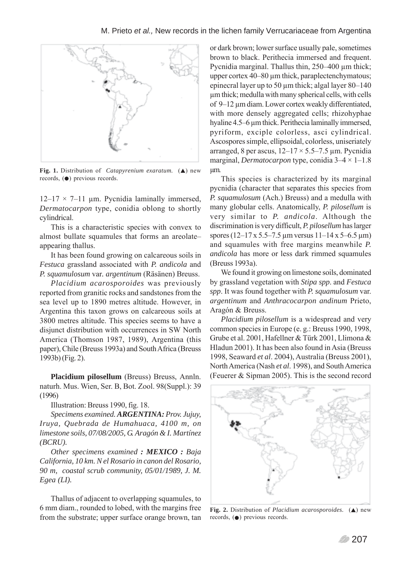

**Fig. 1.** Distribution of *Catapyrenium exaratum.* (A) new records,  $\left( \bullet \right)$  previous records.

 $12-17 \times 7-11$  μm. Pycnidia laminally immersed, *Dermatocarpon* type, conidia oblong to shortly cylindrical.

This is a characteristic species with convex to almost bullate squamules that forms an areolate– appearing thallus.

It has been found growing on calcareous soils in *Festuca* grassland associated with *P. andicola* and *P. squamulosum* var*. argentinum* (Räsänen) Breuss.

*Placidium acarosporoides* was previously reported from granitic rocks and sandstones from the sea level up to 1890 metres altitude. However, in Argentina this taxon grows on calcareous soils at 3800 metres altitude. This species seems to have a disjunct distribution with occurrences in SW North America (Thomson 1987, 1989), Argentina (this paper), Chile (Breuss 1993a) and South Africa (Breuss 1993b) (Fig. 2).

**Placidium pilosellum** (Breuss) Breuss, Annln. naturh. Mus. Wien, Ser. B, Bot. Zool. 98(Suppl.): 39 (1996)

Illustration: Breuss 1990, fig. 18.

*Specimens examined. ARGENTINA: Prov. Jujuy, Iruya, Quebrada de Humahuaca, 4100 m, on limestone soils, 07/08/2005, G. Aragón & I. Martínez (BCRU).*

*Other specimens examined : MEXICO : Baja California, 10 km. N el Rosario in canon del Rosario, 90 m, coastal scrub community, 05/01/1989, J. M. Egea (LI).*

Thallus of adjacent to overlapping squamules, to 6 mm diam., rounded to lobed, with the margins free from the substrate; upper surface orange brown, tan

or dark brown; lower surface usually pale, sometimes brown to black. Perithecia immersed and frequent. Pycnidia marginal. Thallus thin, 250–400 μm thick; upper cortex 40–80 μm thick, paraplectenchymatous; epinecral layer up to 50 μm thick; algal layer 80–140 μm thick; medulla with many spherical cells, with cells of 9–12 μm diam. Lower cortex weakly differentiated, with more densely aggregated cells; rhizohyphae hyaline 4.5–6 μm thick. Perithecia laminally immersed, pyriform, exciple colorless, asci cylindrical. Ascospores simple, ellipsoidal, colorless, uniseriately arranged, 8 per ascus,  $12-17 \times 5.5-7.5$  µm. Pycnidia marginal, *Dermatocarpon* type, conidia 3–4 × 1–1.8 μm.

This species is characterized by its marginal pycnidia (character that separates this species from *P. squamulosum* (Ach.) Breuss) and a medulla with many globular cells. Anatomically, *P. pilosellum* is very similar to *P. andicola*. Although the discrimination is very difficult, *P. pilosellum* has larger spores (12–17 x 5.5–7.5 μm versus 11–14 x 5–6.5 μm) and squamules with free margins meanwhile *P. andicola* has more or less dark rimmed squamules (Breuss 1993a).

We found it growing on limestone soils, dominated by grassland vegetation with *Stipa spp*. and *Festuca spp*. It was found together with *P. squamulosum* var. *argentinum* and *Anthracocarpon andinum* Prieto, Aragón & Breuss.

*Placidium pilosellum* is a widespread and very common species in Europe (e. g.: Breuss 1990, 1998, Grube et al. 2001, Hafellner & Türk 2001, Llimona & Hladun 2001). It has been also found in Asia (Breuss 1998, Seaward *et al*. 2004), Australia (Breuss 2001), North America (Nash *et al*. 1998), and South America (Feuerer & Sipman 2005). This is the second record



**Fig. 2.** Distribution of *Placidium acarosporoides.* (A) new records,  $\left( \bullet \right)$  previous records.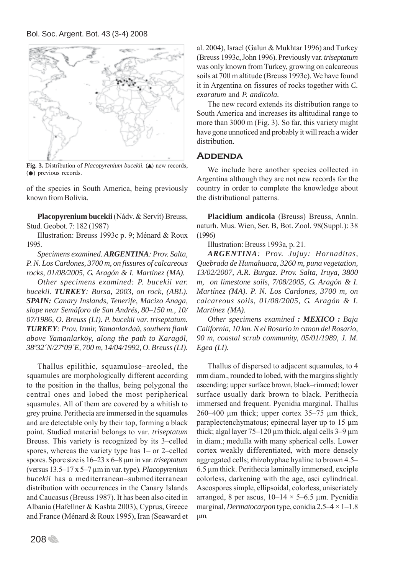

**Fig. 3.** Distribution of *Placopyrenium bucekii*. (A) new records,  $($  $\bullet)$  previous records.

of the species in South America, being previously known from Bolivia.

**Placopyrenium bucekii** (Nádv. & Servít) Breuss, Stud. Geobot. 7: 182 (1987)

Illustration: Breuss 1993c p. 9; Ménard & Roux 1995.

*Specimens examined. ARGENTINA: Prov. Salta, P. N. Los Cardones, 3700 m, on fissures of calcareous rocks, 01/08/2005, G. Aragón & I. Martínez (MA).*

*Other specimens examined: P. bucekii var. bucekii. TURKEY: Bursa, 2003, on rock, (ABL). SPAIN: Canary Inslands, Tenerife, Macizo Anaga, slope near Semáforo de San Andrés, 80–150 m., 10/ 07/1986, O. Breuss (LI). P. bucekii var. triseptatum. TURKEY: Prov. Izmir, Yamanlardað, southern flank above Yamanlarköy, along the path to Karagöl, 38º32´N/27º09´E, 700 m, 14/04/1992, O. Breuss (LI).*

Thallus epilithic, squamulose–areoled, the squamules are morphologically different according to the position in the thallus, being polygonal the central ones and lobed the most peripherical squamules. All of them are covered by a whitish to grey pruine. Perithecia are immersed in the squamules and are detectable only by their top, forming a black point. Studied material belongs to var*. triseptatum* Breuss. This variety is recognized by its 3–celled spores, whereas the variety type has 1– or 2–celled spores. Spore size is 16–23 x 6–8 μm in var. *triseptatum* (versus 13.5–17 x 5–7 μm in var. type). *Placopyrenium bucekii* has a mediterranean–submediterranean distribution with occurrences in the Canary Islands and Caucasus (Breuss 1987). It has been also cited in Albania (Hafellner & Kashta 2003), Cyprus, Greece and France (Ménard & Roux 1995), Iran (Seaward et al. 2004), Israel (Galun & Mukhtar 1996) and Turkey (Breuss 1993c, John 1996). Previously var. *triseptatum* was only known from Turkey, growing on calcareous soils at 700 m altitude (Breuss 1993c). We have found it in Argentina on fissures of rocks together with *C. exaratum* and *P. andicola.*

The new record extends its distribution range to South America and increases its altitudinal range to more than 3000 m (Fig. 3). So far, this variety might have gone unnoticed and probably it will reach a wider distribution.

#### **Addenda**

We include here another species collected in Argentina although they are not new records for the country in order to complete the knowledge about the distributional patterns.

**Placidium andicola** (Breuss) Breuss, Annln. naturh. Mus. Wien, Ser. B, Bot. Zool. 98(Suppl.): 38 (1996)

Illustration: Breuss 1993a, p. 21.

*ARGENTINA: Prov. Jujuy: Hornaditas, Quebrada de Humahuaca, 3260 m, puna vegetation, 13/02/2007, A.R. Burgaz. Prov. Salta, Iruya, 3800 m, on limestone soils, 7/08/2005, G. Aragón & I. Martínez (MA). P. N. Los Cardones, 3700 m, on calcareous soils, 01/08/2005, G. Aragón & I. Martínez (MA).*

*Other specimens examined : MEXICO : Baja California, 10 km. N el Rosario in canon del Rosario, 90 m, coastal scrub community, 05/01/1989, J. M. Egea (LI).*

Thallus of dispersed to adjacent squamules, to 4 mm diam., rounded to lobed, with the margins slightly ascending; upper surface brown, black–rimmed; lower surface usually dark brown to black. Perithecia immersed and frequent. Pycnidia marginal. Thallus 260–400 μm thick; upper cortex 35–75 μm thick, paraplectenchymatous; epinecral layer up to 15 μm thick; algal layer  $75-120 \mu m$  thick, algal cells  $3-9 \mu m$ in diam.; medulla with many spherical cells. Lower cortex weakly differentiated, with more densely aggregated cells; rhizohyphae hyaline to brown 4.5– 6.5 μm thick. Perithecia laminally immersed, exciple colorless, darkening with the age, asci cylindrical. Ascospores simple, ellipsoidal, colorless, uniseriately arranged, 8 per ascus,  $10-14 \times 5-6.5$  µm. Pycnidia marginal, *Dermatocarpon* type, conidia 2.5–4 × 1–1.8 μm.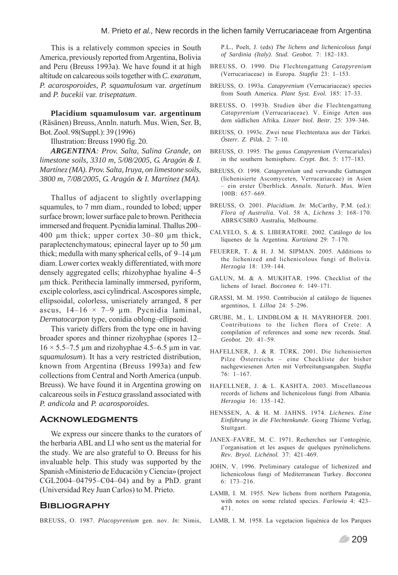This is a relatively common species in South America, previously reported from Argentina, Bolivia and Peru (Breuss 1993a). We have found it at high altitude on calcareous soils together with *C. exaratum*, *P. acarosporoides*, *P. squamulosum* var. *argetinum* and *P. bucekii* var. *triseptatum*.

**Placidium squamulosum var. argentinum** (Räsänen) Breuss, Annln. naturh. Mus. Wien, Ser. B, Bot. Zool. 98(Suppl.): 39 (1996)

Illustration: Breuss 1990 fig. 20.

*ARGENTINA: Prov. Salta, Salina Grande, on limestone soils, 3310 m, 5/08/2005, G. Aragón & I. Martínez (MA). Prov. Salta, Iruya, on limestone soils, 3800 m, 7/08/2005, G. Aragón & I. Martínez (MA).*

Thallus of adjacent to slightly overlapping squamules, to 7 mm diam., rounded to lobed; upper surface brown; lower surface pale to brown. Perithecia immersed and frequent. Pycnidia laminal. Thallus 200– 400 μm thick; upper cortex 30–80 μm thick, paraplectenchymatous; epinecral layer up to 50 μm thick; medulla with many spherical cells, of 9–14 μm diam. Lower cortex weakly differentiated, with more densely aggregated cells; rhizohyphae hyaline 4–5 μm thick. Perithecia laminally immersed, pyriform, exciple colorless, asci cylindrical. Ascospores simple, ellipsoidal, colorless, uniseriately arranged, 8 per ascus,  $14-16 \times 7-9$  µm. Pycnidia laminal, *Dermatocarpon* type, conidia oblong–ellipsoid.

This variety differs from the type one in having broader spores and thinner rizohyphae (spores 12–  $16 \times 5.5 - 7.5$  μm and rizohyphae 4.5–6.5 μm in var. *squamulosum*). It has a very restricted distribution, known from Argentina (Breuss 1993a) and few collections from Central and North America (unpub. Breuss). We have found it in Argentina growing on calcareous soils in *Festuca* grassland associated with *P. andicola* and *P. acarosporoides.*

#### **Acknowledgments**

We express our sincere thanks to the curators of the herbaria ABL and LI who sent us the material for the study. We are also grateful to O. Breuss for his invaluable help. This study was supported by the Spanish «Ministerio de Educación y Ciencia» (project CGL2004–04795–C04–04) and by a PhD. grant (Universidad Rey Juan Carlos) to M. Prieto.

### **Bibliography**

BREUSS, O. 1987. *Placopyrenium* gen. nov. *In*: Nimis,

P.L., Poelt, J. (eds) *The lichens and lichenicolous fungi of Sardinia (Italy)*. *Stud. Geobot.* 7: 182–183.

- BREUSS, O. 1990. Die Flechtengattung *Catapyrenium* (Verrucariaceae) in Europa. *Stapfia* 23: 1–153.
- BREUSS, O. 1993a. *Catapyrenium* (Verrucariaceae) species from South America. *Plant Syst. Evol.* 185: 17–33.
- BREUSS, O. 1993b. Studien über die Flechtengattung *Catapyrenium* (Verrucariaceae). V. Einige Arten aus dem südlichen Afrika. *Linzer biol. Beitr.* 25: 339–346.
- BREUSS, O. 1993c. Zwei neue Flechtentaxa aus der Türkei. *Österr. Z. Pilzk.* 2: 7–10.
- BREUSS, O. 1995. The genus *Catapyrenium* (Verrucariales) in the southern hemisphere. *Crypt. Bot.* 5: 177–183.
- BREUSS, O. 1998. *Catapyrenium* und verwandte Gattungen (lichenisierte Ascomyceten, Verrucariaceae) in Asien – ein erster Überblick. *Annaln. Naturh. Mus. Wien* 100B: 657–669.
- BREUSS, O. 2001. *Placidium*. *In*: McCarthy, P.M. (ed.): *Flora of Australia.* Vol. 58 A, *Lichens* 3: 168–170. ABRS/CSIRO Australia, Melbourne.
- CALVELO, S. & S. LIBERATORE. 2002. Catálogo de los líquenes de la Argentina. *Kurtziana* 29: 7–170.
- FEUERER, T. & H. J. M. SIPMAN. 2005. Additions to the lichenized and lichenicolous fungi of Bolivia. *Herzogia* 18: 139–144.
- GALUN, M. & A. MUKHTAR. 1996. Checklist of the lichens of Israel. *Bocconea* 6: 149–171.
- GRASSI, M. M. 1950. Contribución al catálogo de líquenes argentinos, I. *Lilloa* 24: 5–296.
- GRUBE, M., L. LINDBLOM & H. MAYRHOFER. 2001. Contributions to the lichen flora of Crete: A compilation of references and some new records. *Stud. Geobot.* 20: 41–59.
- HAFELLNER, J. & R. TÜRK. 2001. Die lichenisierten Pilze Österreichs – eine Checkliste der bisher nachgewiesenen Arten mit Verbreitungsangaben. *Stapfia* 76: 1–167.
- HAFELLNER, J. & L. KASHTA. 2003. Miscellaneous records of lichens and lichenicolous fungi from Albania. *Herzogia* 16: 135–142.
- HENSSEN, A. & H. M. JAHNS. 1974. *Lichenes. Eine Einführung in die Flechtenkunde*. Georg Thieme Verlag, Stuttgart.
- JANEX–FAVRE, M. C. 1971. Recherches sur l'ontogénie, l'organisation et les asques de quelques pyrénolichens. *Rev. Bryol. Lichénol.* 37: 421–469.
- JOHN, V. 1996. Preliminary catalogue of lichenized and lichenicolous fungi of Mediterranean Turkey. *Bocconea* 6: 173–216.
- LAMB, I. M. 1955. New lichens from northern Patagonia, with notes on some related species. *Farlowia* 4: 423– 471.
- LAMB, I. M. 1958. La vegetacion liquénica de los Parques